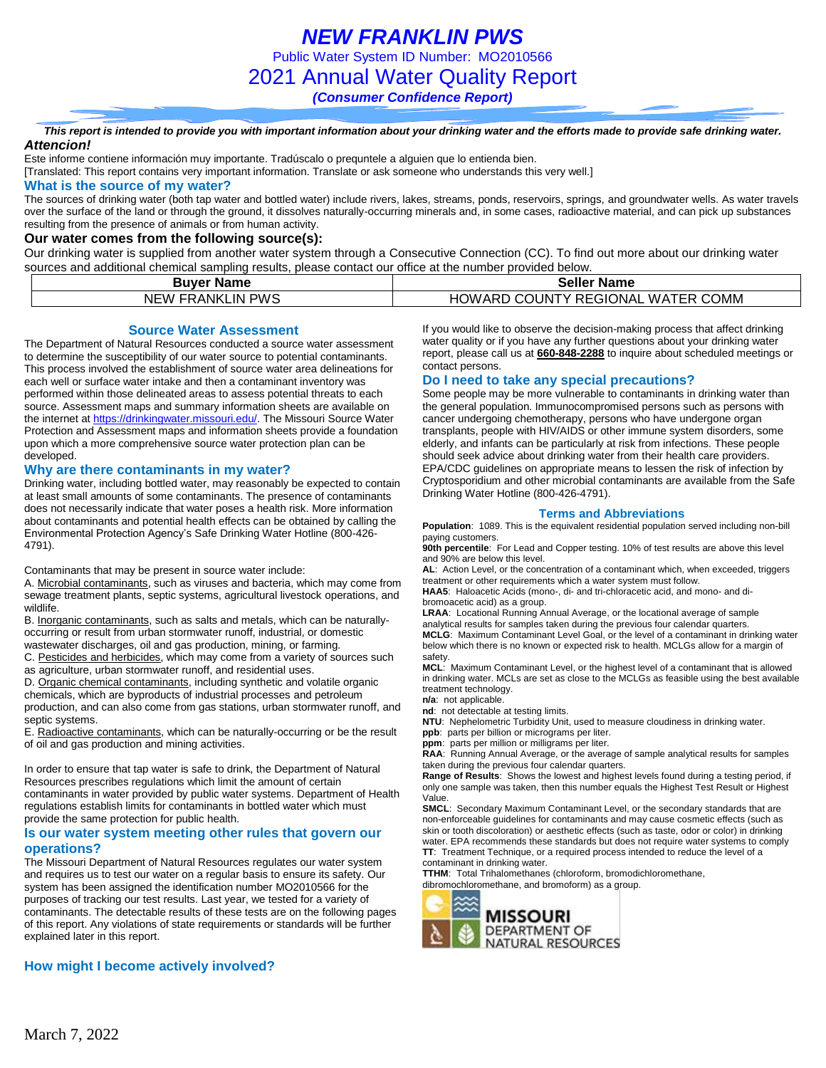*NEW FRANKLIN PWS* Public Water System ID Number: MO2010566 2021 Annual Water Quality Report

*(Consumer Confidence Report)*

*This report is intended to provide you with important information about your drinking water and the efforts made to provide safe drinking water. Attencion!*

Este informe contiene información muy importante. Tradúscalo o prequntele a alguien que lo entienda bien.

[Translated: This report contains very important information. Translate or ask someone who understands this very well.]

#### **What is the source of my water?**

The sources of drinking water (both tap water and bottled water) include rivers, lakes, streams, ponds, reservoirs, springs, and groundwater wells. As water travels over the surface of the land or through the ground, it dissolves naturally-occurring minerals and, in some cases, radioactive material, and can pick up substances resulting from the presence of animals or from human activity.

### **Our water comes from the following source(s):**

Our drinking water is supplied from another water system through a Consecutive Connection (CC). To find out more about our drinking water sources and additional chemical sampling results, please contact our office at the number provided below.

| <b>Buver Name</b>       | <b>Seller Name</b>                            |  |  |  |  |  |
|-------------------------|-----------------------------------------------|--|--|--|--|--|
| <b>NEW FRANKLIN PWS</b> | <b>HOWARD COUNTY REGIONAL</b><br>. WATER COMM |  |  |  |  |  |

**Source Water Assessment**

The Department of Natural Resources conducted a source water assessment to determine the susceptibility of our water source to potential contaminants. This process involved the establishment of source water area delineations for each well or surface water intake and then a contaminant inventory was performed within those delineated areas to assess potential threats to each source. Assessment maps and summary information sheets are available on the internet a[t https://drinkingwater.missouri.edu/.](https://drinkingwater.missouri.edu/) The Missouri Source Water Protection and Assessment maps and information sheets provide a foundation upon which a more comprehensive source water protection plan can be developed.

#### **Why are there contaminants in my water?**

Drinking water, including bottled water, may reasonably be expected to contain at least small amounts of some contaminants. The presence of contaminants does not necessarily indicate that water poses a health risk. More information about contaminants and potential health effects can be obtained by calling the Environmental Protection Agency's Safe Drinking Water Hotline (800-426- 4791).

Contaminants that may be present in source water include:

A. Microbial contaminants, such as viruses and bacteria, which may come from sewage treatment plants, septic systems, agricultural livestock operations, and wildlife.

B. Inorganic contaminants, such as salts and metals, which can be naturallyoccurring or result from urban stormwater runoff, industrial, or domestic wastewater discharges, oil and gas production, mining, or farming.

C. Pesticides and herbicides, which may come from a variety of sources such as agriculture, urban stormwater runoff, and residential uses.

D. Organic chemical contaminants, including synthetic and volatile organic chemicals, which are byproducts of industrial processes and petroleum production, and can also come from gas stations, urban stormwater runoff, and septic systems.

E. Radioactive contaminants, which can be naturally-occurring or be the result of oil and gas production and mining activities.

In order to ensure that tap water is safe to drink, the Department of Natural Resources prescribes regulations which limit the amount of certain contaminants in water provided by public water systems. Department of Health regulations establish limits for contaminants in bottled water which must provide the same protection for public health.

#### **Is our water system meeting other rules that govern our operations?**

The Missouri Department of Natural Resources regulates our water system and requires us to test our water on a regular basis to ensure its safety. Our system has been assigned the identification number MO2010566 for the purposes of tracking our test results. Last year, we tested for a variety of contaminants. The detectable results of these tests are on the following pages of this report. Any violations of state requirements or standards will be further explained later in this report.

### **How might I become actively involved?**

If you would like to observe the decision-making process that affect drinking water quality or if you have any further questions about your drinking water report, please call us at **660-848-2288** to inquire about scheduled meetings or contact persons.

### **Do I need to take any special precautions?**

Some people may be more vulnerable to contaminants in drinking water than the general population. Immunocompromised persons such as persons with cancer undergoing chemotherapy, persons who have undergone organ transplants, people with HIV/AIDS or other immune system disorders, some elderly, and infants can be particularly at risk from infections. These people should seek advice about drinking water from their health care providers. EPA/CDC guidelines on appropriate means to lessen the risk of infection by Cryptosporidium and other microbial contaminants are available from the Safe Drinking Water Hotline (800-426-4791).

#### **Terms and Abbreviations**

**Population**: 1089. This is the equivalent residential population served including non-bill paying customers.

**90th percentile**: For Lead and Copper testing. 10% of test results are above this level and 90% are below this level.

**AL**: Action Level, or the concentration of a contaminant which, when exceeded, triggers treatment or other requirements which a water system must follow.

**HAA5**: Haloacetic Acids (mono-, di- and tri-chloracetic acid, and mono- and dibromoacetic acid) as a group.

**LRAA**: Locational Running Annual Average, or the locational average of sample analytical results for samples taken during the previous four calendar quarters. **MCLG**: Maximum Contaminant Level Goal, or the level of a contaminant in drinking water below which there is no known or expected risk to health. MCLGs allow for a margin of safety. **MCL**: Maximum Contaminant Level, or the highest level of a contaminant that is allowed

in drinking water. MCLs are set as close to the MCLGs as feasible using the best available treatment technology.

**n/a**: not applicable.

**nd**: not detectable at testing limits.

**NTU**: Nephelometric Turbidity Unit, used to measure cloudiness in drinking water. **ppb**: parts per billion or micrograms per liter.

**ppm**: parts per million or milligrams per liter.

**RAA**: Running Annual Average, or the average of sample analytical results for samples taken during the previous four calendar quarters.

**Range of Results**: Shows the lowest and highest levels found during a testing period, if only one sample was taken, then this number equals the Highest Test Result or Highest Value.

**SMCL**: Secondary Maximum Contaminant Level, or the secondary standards that are non-enforceable guidelines for contaminants and may cause cosmetic effects (such as skin or tooth discoloration) or aesthetic effects (such as taste, odor or color) in drinking water. EPA recommends these standards but does not require water systems to comply **TT**: Treatment Technique, or a required process intended to reduce the level of a contaminant in drinking water.

**TTHM**: Total Trihalomethanes (chloroform, bromodichloromethane, dibromochloromethane, and bromoform) as a group.

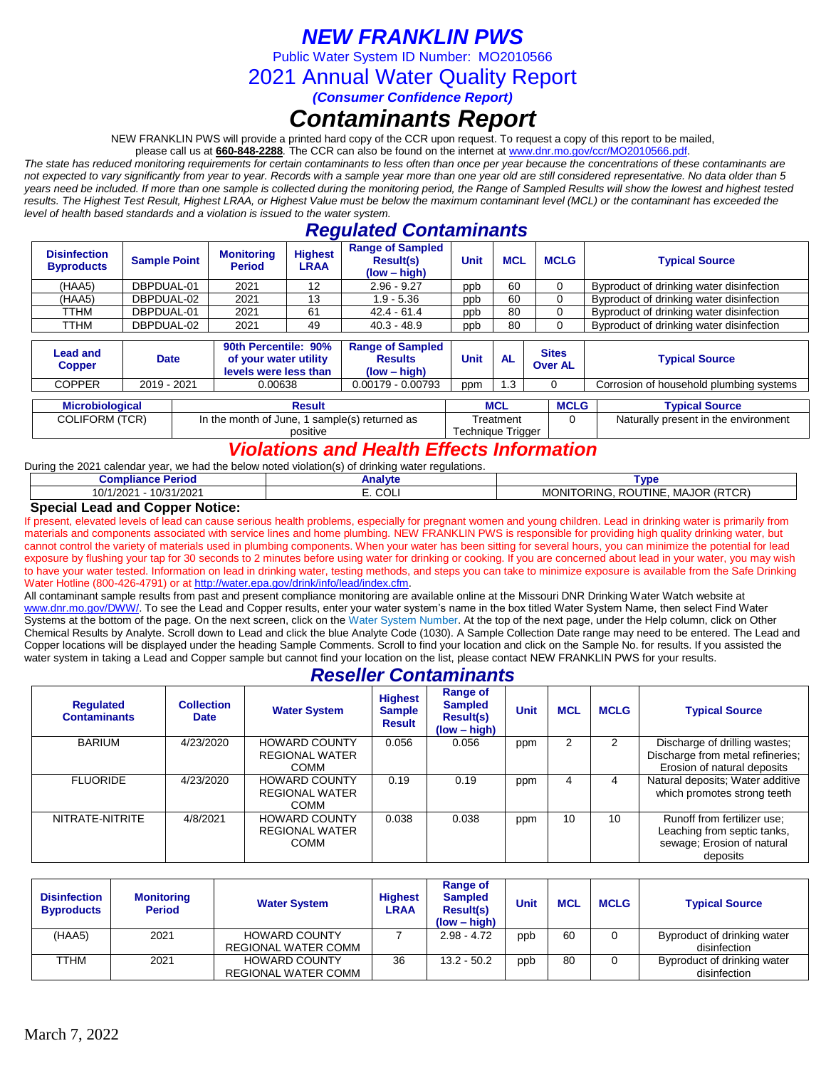## *NEW FRANKLIN PWS*

Public Water System ID Number: MO2010566

2021 Annual Water Quality Report

*(Consumer Confidence Report)*

# *Contaminants Report*

NEW FRANKLIN PWS will provide a printed hard copy of the CCR upon request. To request a copy of this report to be mailed,

please call us at **660-848-2288***.* The CCR can also be found on the internet at www.dnr.mo.gov/ccr/MO2010566.pdf.

*The state has reduced monitoring requirements for certain contaminants to less often than once per year because the concentrations of these contaminants are not expected to vary significantly from year to year. Records with a sample year more than one year old are still considered representative. No data older than 5 years need be included. If more than one sample is collected during the monitoring period, the Range of Sampled Results will show the lowest and highest tested results. The Highest Test Result, Highest LRAA, or Highest Value must be below the maximum contaminant level (MCL) or the contaminant has exceeded the level of health based standards and a violation is issued to the water system.* 

### *Regulated Contaminants*

| <b>Disinfection</b><br><b>Byproducts</b>                                                                                        | <b>Sample Point</b> | <b>Monitoring</b><br><b>Period</b>                                                                            | <b>Highest</b><br>LRAA | <b>Range of Sampled</b><br><b>Result(s)</b><br>$(low - high)$ | Unit                           | <b>MCL</b>            | <b>MCLG</b> | <b>Typical Source</b>                    |
|---------------------------------------------------------------------------------------------------------------------------------|---------------------|---------------------------------------------------------------------------------------------------------------|------------------------|---------------------------------------------------------------|--------------------------------|-----------------------|-------------|------------------------------------------|
| (HAA5)                                                                                                                          | DBPDUAL-01          | 2021                                                                                                          | 12                     | $2.96 - 9.27$                                                 | ppb                            | 60                    |             | Byproduct of drinking water disinfection |
| (HAA5)                                                                                                                          | DBPDUAL-02          | 2021                                                                                                          | 13                     | $1.9 - 5.36$                                                  | ppb                            | 60                    |             | Byproduct of drinking water disinfection |
| TTHM                                                                                                                            | DBPDUAL-01          | 2021                                                                                                          | 61                     | $42.4 - 61.4$                                                 | ppb                            | 80                    |             | Byproduct of drinking water disinfection |
| TTHM                                                                                                                            | DBPDUAL-02          | 2021                                                                                                          | 49                     | $40.3 - 48.9$                                                 | ppb                            | 80                    |             | Byproduct of drinking water disinfection |
| 90th Percentile: 90%<br><b>Lead and</b><br><b>Date</b><br>of your water utility<br><b>Copper</b><br>الممتلة ومما ومعتبد وامتنقا |                     | <b>Range of Sampled</b><br><b>Results</b><br>$\mathbf{u}$ $\mathbf{u}$ $\mathbf{u}$ $\mathbf{u}$ $\mathbf{u}$ | Unit                   | <b>AL</b>                                                     | <b>Sites</b><br><b>Over AL</b> | <b>Typical Source</b> |             |                                          |

|  | <b>OUPPUL</b>          |             |          | levels were less than                         | $(low - high)$ |                   |                     | <b>UVGLAL</b> |             |                                      |  |                                         |
|--|------------------------|-------------|----------|-----------------------------------------------|----------------|-------------------|---------------------|---------------|-------------|--------------------------------------|--|-----------------------------------------|
|  | <b>COPPER</b>          | 2019 - 2021 |          |                                               |                | 0.00638           | $0.00179 - 0.00793$ | ppm           | .3          |                                      |  | Corrosion of household plumbing systems |
|  |                        |             |          |                                               |                |                   |                     |               |             |                                      |  |                                         |
|  | <b>Microbiological</b> |             |          | Result                                        |                |                   | <b>MCL</b>          |               | <b>MCLG</b> | <b>Typical Source</b>                |  |                                         |
|  | <b>COLIFORM (TCR)</b>  |             |          | In the month of June, 1 sample(s) returned as |                | Treatment         |                     |               |             | Naturally present in the environment |  |                                         |
|  |                        |             | positive |                                               |                | Technique Trigger |                     |               |             |                                      |  |                                         |

### *Violations and Health Effects Information*

During the 2021 calendar year, we had the below noted violation(s) of drinking water regulations.

| amplianaa<br>⊧ Period<br>combilance      | Analvte       | <b>VDE</b>                                                     |
|------------------------------------------|---------------|----------------------------------------------------------------|
| 10/31/2021<br>10/1<br>1000<br>1/202<br>v | $\sim$<br>◡◡∟ | (RTCR)<br><b>MAJOR</b><br>JTINE<br>MOI<br>ROU<br>TORING<br>'NH |
| $\sim$<br>---<br>.<br>_                  |               |                                                                |

### **Special Lead and Copper Notice:**

If present, elevated levels of lead can cause serious health problems, especially for pregnant women and young children. Lead in drinking water is primarily from materials and components associated with service lines and home plumbing. NEW FRANKLIN PWS is responsible for providing high quality drinking water, but cannot control the variety of materials used in plumbing components. When your water has been sitting for several hours, you can minimize the potential for lead exposure by flushing your tap for 30 seconds to 2 minutes before using water for drinking or cooking. If you are concerned about lead in your water, you may wish to have your water tested. Information on lead in drinking water, testing methods, and steps you can take to minimize exposure is available from the Safe Drinking Water Hotline (800-426-4791) or at [http://water.epa.gov/drink/info/lead/index.cfm.](http://water.epa.gov/drink/info/lead/index.cfm)

All contaminant sample results from past and present compliance monitoring are available online at the Missouri DNR Drinking Water Watch website at [www.dnr.mo.gov/DWW/.](http://www.dnr.mo.gov/DWW/) To see the Lead and Copper results, enter your water system's name in the box titled Water System Name, then select Find Water Systems at the bottom of the page. On the next screen, click on the Water System Number. At the top of the next page, under the Help column, click on Other Chemical Results by Analyte. Scroll down to Lead and click the blue Analyte Code (1030). A Sample Collection Date range may need to be entered. The Lead and Copper locations will be displayed under the heading Sample Comments. Scroll to find your location and click on the Sample No. for results. If you assisted the water system in taking a Lead and Copper sample but cannot find your location on the list, please contact NEW FRANKLIN PWS for your results.

### *Reseller Contaminants*

| <b>Requlated</b><br><b>Contaminants</b> | <b>Collection</b><br><b>Date</b> | <b>Water System</b>                                          | <b>Highest</b><br><b>Sample</b><br><b>Result</b> | Range of<br><b>Sampled</b><br><b>Result(s)</b><br>$(low - high)$ | <b>Unit</b> | <b>MCL</b> | <b>MCLG</b> | <b>Typical Source</b>                                                                                |
|-----------------------------------------|----------------------------------|--------------------------------------------------------------|--------------------------------------------------|------------------------------------------------------------------|-------------|------------|-------------|------------------------------------------------------------------------------------------------------|
| <b>BARIUM</b>                           | 4/23/2020                        | <b>HOWARD COUNTY</b><br><b>REGIONAL WATER</b><br><b>COMM</b> | 0.056                                            | 0.056                                                            | ppm         | 2          | 2           | Discharge of drilling wastes;<br>Discharge from metal refineries;<br>Erosion of natural deposits     |
| <b>FLUORIDE</b>                         | 4/23/2020                        | <b>HOWARD COUNTY</b><br><b>REGIONAL WATER</b><br><b>COMM</b> | 0.19                                             | 0.19                                                             | ppm         | 4          | 4           | Natural deposits; Water additive<br>which promotes strong teeth                                      |
| NITRATE-NITRITE                         | 4/8/2021                         | <b>HOWARD COUNTY</b><br><b>REGIONAL WATER</b><br><b>COMM</b> | 0.038                                            | 0.038                                                            | ppm         | 10         | 10          | Runoff from fertilizer use;<br>Leaching from septic tanks,<br>sewage; Erosion of natural<br>deposits |

| <b>Disinfection</b><br><b>Byproducts</b> | <b>Monitoring</b><br><b>Period</b> | <b>Water System</b>  | <b>Highest</b><br>LRAA | Range of<br><b>Sampled</b><br><b>Result(s)</b><br>$(low - high)$ | <b>Unit</b> | <b>MCL</b> | <b>MCLG</b> | <b>Typical Source</b>       |
|------------------------------------------|------------------------------------|----------------------|------------------------|------------------------------------------------------------------|-------------|------------|-------------|-----------------------------|
| (HAA5)                                   | 2021                               | <b>HOWARD COUNTY</b> |                        | $2.98 - 4.72$                                                    | ppb         | 60         |             | Byproduct of drinking water |
|                                          |                                    | REGIONAL WATER COMM  |                        |                                                                  |             |            |             | disinfection                |
| TTHM                                     | 2021                               | <b>HOWARD COUNTY</b> | 36                     | 13.2 - 50.2                                                      | ppb         | 80         |             | Byproduct of drinking water |
|                                          |                                    | REGIONAL WATER COMM  |                        |                                                                  |             |            |             | disinfection                |